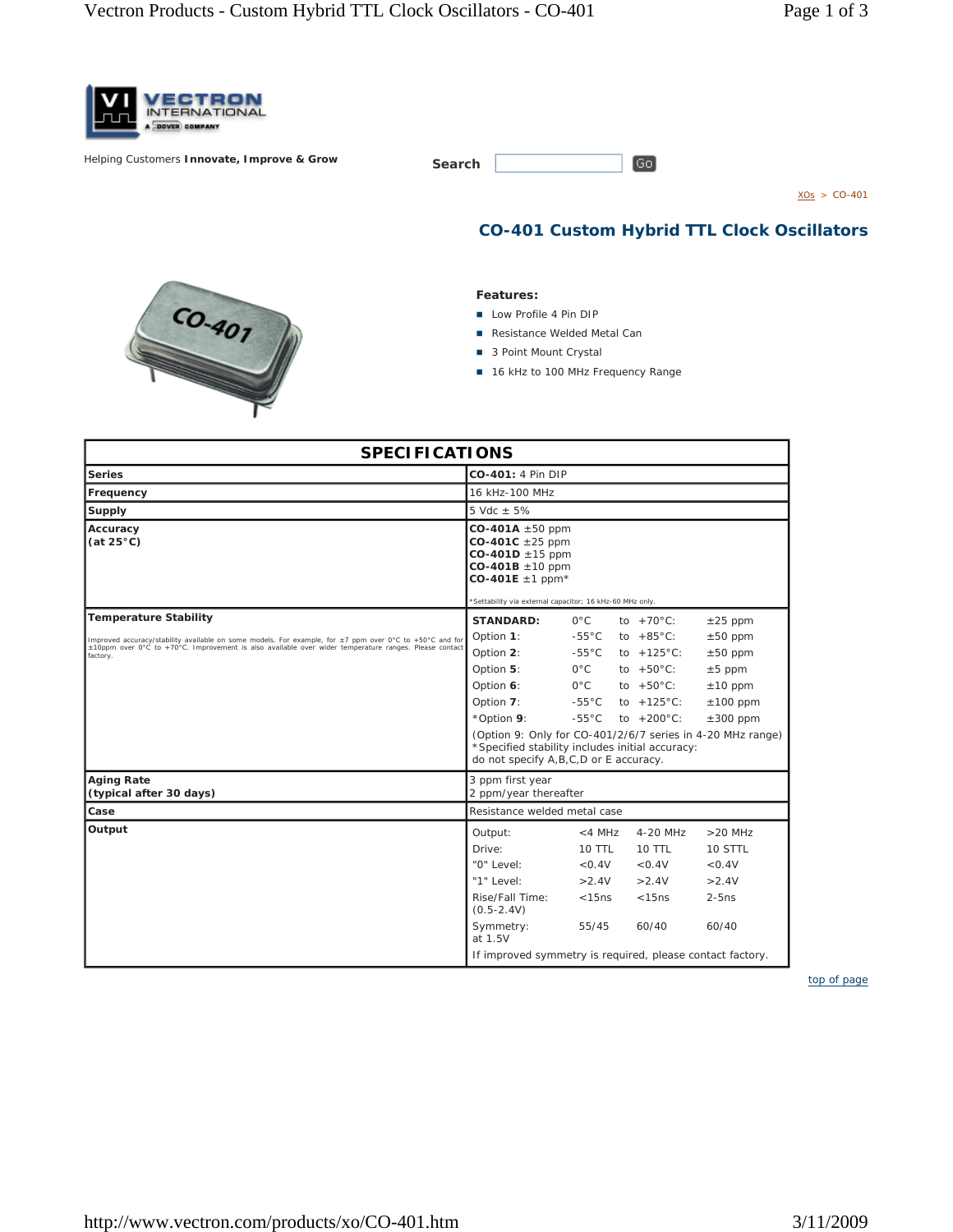

**Helping Customers Innovate, Improve & Grow** 

| Search |  |
|--------|--|
|        |  |

 $XOs > CO-401$ 

**CO-401 Custom Hybrid TTL Clock Oscillators**

 $\boxed{Go}$ 

## **Features:**

- **Low Profile 4 Pin DIP**
- Resistance Welded Metal Can
- 3 Point Mount Crystal
- 16 kHz to 100 MHz Frequency Range

| <b>SPECIFICATIONS</b>                                                                                             |                                                                                                                                                                                              |                 |                      |               |  |  |  |  |
|-------------------------------------------------------------------------------------------------------------------|----------------------------------------------------------------------------------------------------------------------------------------------------------------------------------------------|-----------------|----------------------|---------------|--|--|--|--|
| <b>Series</b>                                                                                                     | CO-401: 4 Pin DIP                                                                                                                                                                            |                 |                      |               |  |  |  |  |
| Frequency                                                                                                         | 16 kHz-100 MHz                                                                                                                                                                               |                 |                      |               |  |  |  |  |
| Supply                                                                                                            | 5 Vdc $\pm$ 5%                                                                                                                                                                               |                 |                      |               |  |  |  |  |
| Accuracy<br>(at $25^{\circ}$ C)                                                                                   | $CO-401A \pm 50$ ppm<br>$CO-401C \pm 25$ ppm<br>$CO-401D \pm 15$ ppm<br>$CO-401B \pm 10$ ppm<br>$CO-401E \pm 1$ ppm <sup>*</sup><br>*Settability via external capacitor; 16 kHz-60 MHz only. |                 |                      |               |  |  |  |  |
| <b>Temperature Stability</b>                                                                                      | <b>STANDARD:</b>                                                                                                                                                                             | $O^{\circ}C$    | to $+70^{\circ}$ C:  | $\pm 25$ ppm  |  |  |  |  |
| Improved accuracy/stability available on some models. For example, for ±7 ppm over 0°C to +50°C and for           | Option 1:                                                                                                                                                                                    | $-55^{\circ}$ C | to $+85^{\circ}$ C:  | $±50$ ppm     |  |  |  |  |
| ±10ppm over 0°C to +70°C. Improvement is also available over wider temperature ranges. Please contact<br>factory. | Option 2:                                                                                                                                                                                    | $-55^{\circ}$ C | to $+125^{\circ}$ C: | $\pm 50$ ppm  |  |  |  |  |
|                                                                                                                   | Option 5:                                                                                                                                                                                    | $O^{\circ}C$    | to $+50^{\circ}$ C:  | $±5$ ppm      |  |  |  |  |
|                                                                                                                   | Option 6:                                                                                                                                                                                    | $O^{\circ}C$    | to $+50^{\circ}$ C:  | $±10$ ppm     |  |  |  |  |
|                                                                                                                   | Option 7:                                                                                                                                                                                    | $-55^{\circ}$ C | to $+125^{\circ}$ C: | $±100$ ppm    |  |  |  |  |
|                                                                                                                   | *Option 9:                                                                                                                                                                                   | $-55^{\circ}$ C | to $+200^{\circ}$ C: | $\pm 300$ ppm |  |  |  |  |
|                                                                                                                   | (Option 9: Only for CO-401/2/6/7 series in 4-20 MHz range)<br>*Specified stability includes initial accuracy:<br>do not specify A, B, C, D or E accuracy.                                    |                 |                      |               |  |  |  |  |
| <b>Aging Rate</b><br>(typical after 30 days)                                                                      | 3 ppm first year<br>2 ppm/year thereafter                                                                                                                                                    |                 |                      |               |  |  |  |  |
| Case                                                                                                              | Resistance welded metal case                                                                                                                                                                 |                 |                      |               |  |  |  |  |
| Output                                                                                                            | Output:                                                                                                                                                                                      | $<$ 4 MHz       | 4-20 MHz             | $>20$ MHz     |  |  |  |  |
|                                                                                                                   | Drive:                                                                                                                                                                                       | <b>10 TTL</b>   | 10 TTL               | 10 STTL       |  |  |  |  |
|                                                                                                                   | "0" Level:                                                                                                                                                                                   | < 0.4V          | < 0.4V               | < 0.4V        |  |  |  |  |
|                                                                                                                   | "1" Level:                                                                                                                                                                                   | >2.4V           | >2.4V                | >2.4V         |  |  |  |  |
|                                                                                                                   | Rise/Fall Time:<br>$(0.5 - 2.4V)$                                                                                                                                                            | < 15ns          | < 15ns               | $2-5ns$       |  |  |  |  |
|                                                                                                                   | Symmetry:<br>at 1.5V                                                                                                                                                                         | 55/45           | 60/40                | 60/40         |  |  |  |  |
|                                                                                                                   | If improved symmetry is required, please contact factory.                                                                                                                                    |                 |                      |               |  |  |  |  |

*top of page*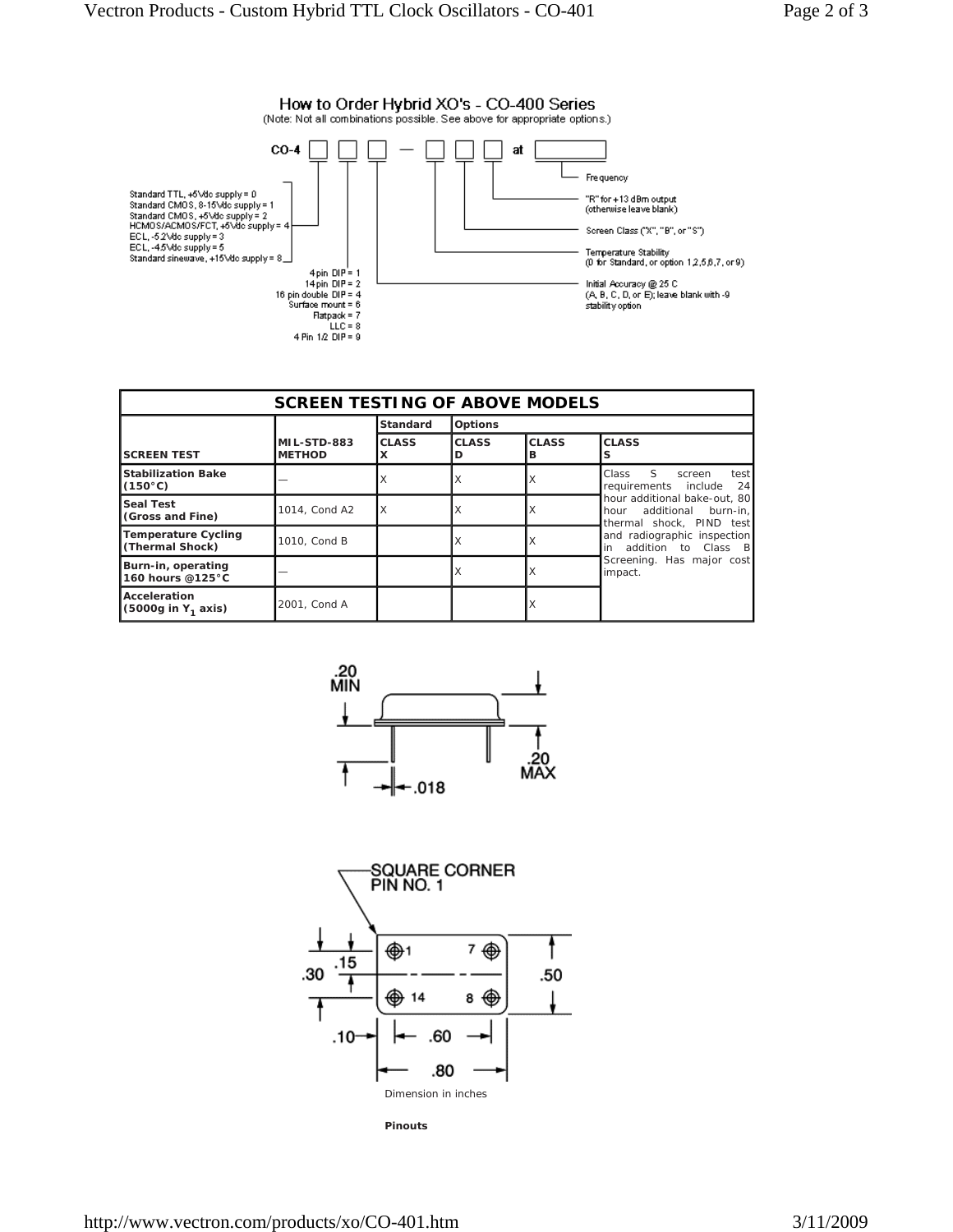

| <b>SCREEN TESTING OF ABOVE MODELS</b>          |                              |              |                   |                   |                                                                                                                                                                                             |  |  |  |  |  |
|------------------------------------------------|------------------------------|--------------|-------------------|-------------------|---------------------------------------------------------------------------------------------------------------------------------------------------------------------------------------------|--|--|--|--|--|
|                                                |                              | Standard     | <b>Options</b>    |                   |                                                                                                                                                                                             |  |  |  |  |  |
| <b>SCREEN TEST</b>                             | MIL-STD-883<br><b>METHOD</b> | <b>CLASS</b> | <b>CLASS</b><br>D | <b>CLASS</b><br>в | <b>CLASS</b>                                                                                                                                                                                |  |  |  |  |  |
| <b>Stabilization Bake</b><br>$(150^{\circ}C)$  |                              |              | X                 | Х                 | S.<br>Class<br>test<br>screen<br>24<br>requirements include                                                                                                                                 |  |  |  |  |  |
| <b>Seal Test</b><br>(Gross and Fine)           | 1014, Cond A2                | X            | Х                 | х                 | hour additional bake-out. 80<br>additional burn-in.<br>hour<br>thermal shock. PIND test<br>and radiographic inspection<br>addition to Class B<br>in<br>Screening. Has major cost<br>impact. |  |  |  |  |  |
| <b>Temperature Cycling</b><br>(Thermal Shock)  | 1010, Cond B                 |              | Х                 | Х                 |                                                                                                                                                                                             |  |  |  |  |  |
| Burn-in, operating<br>160 hours @125°C         |                              |              | X                 | X                 |                                                                                                                                                                                             |  |  |  |  |  |
| Acceleration<br>(5000g in Y <sub>1</sub> axis) | 2001, Cond A                 |              |                   | х                 |                                                                                                                                                                                             |  |  |  |  |  |





**Pinouts**